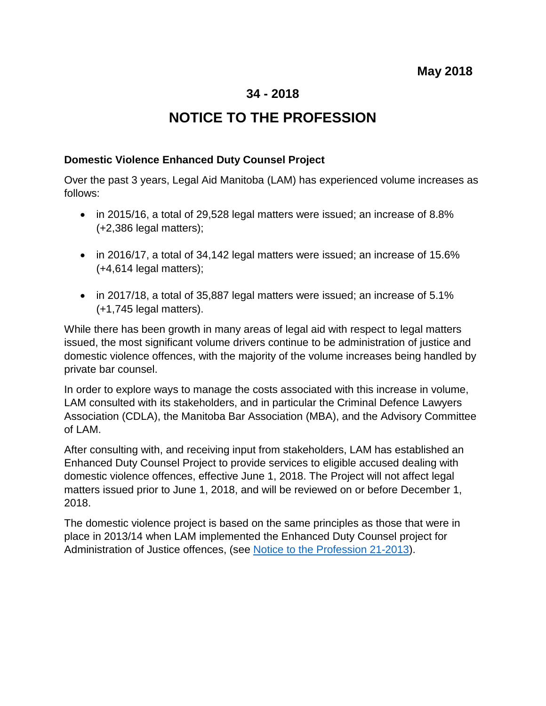## **34 - 2018**

## **NOTICE TO THE PROFESSION**

## **Domestic Violence Enhanced Duty Counsel Project**

Over the past 3 years, Legal Aid Manitoba (LAM) has experienced volume increases as follows:

- in 2015/16, a total of 29,528 legal matters were issued; an increase of 8.8% (+2,386 legal matters);
- in 2016/17, a total of 34,142 legal matters were issued; an increase of 15.6% (+4,614 legal matters);
- in 2017/18, a total of 35,887 legal matters were issued; an increase of 5.1% (+1,745 legal matters).

While there has been growth in many areas of legal aid with respect to legal matters issued, the most significant volume drivers continue to be administration of justice and domestic violence offences, with the majority of the volume increases being handled by private bar counsel.

In order to explore ways to manage the costs associated with this increase in volume, LAM consulted with its stakeholders, and in particular the Criminal Defence Lawyers Association (CDLA), the Manitoba Bar Association (MBA), and the Advisory Committee of LAM.

After consulting with, and receiving input from stakeholders, LAM has established an Enhanced Duty Counsel Project to provide services to eligible accused dealing with domestic violence offences, effective June 1, 2018. The Project will not affect legal matters issued prior to June 1, 2018, and will be reviewed on or before December 1, 2018.

The domestic violence project is based on the same principles as those that were in place in 2013/14 when LAM implemented the Enhanced Duty Counsel project for Administration of Justice offences, (see [Notice to the Profession 21-2013\)](https://www.legalaid.mb.ca/wp-content/uploads/2017/03/np_21_2013.pdf).